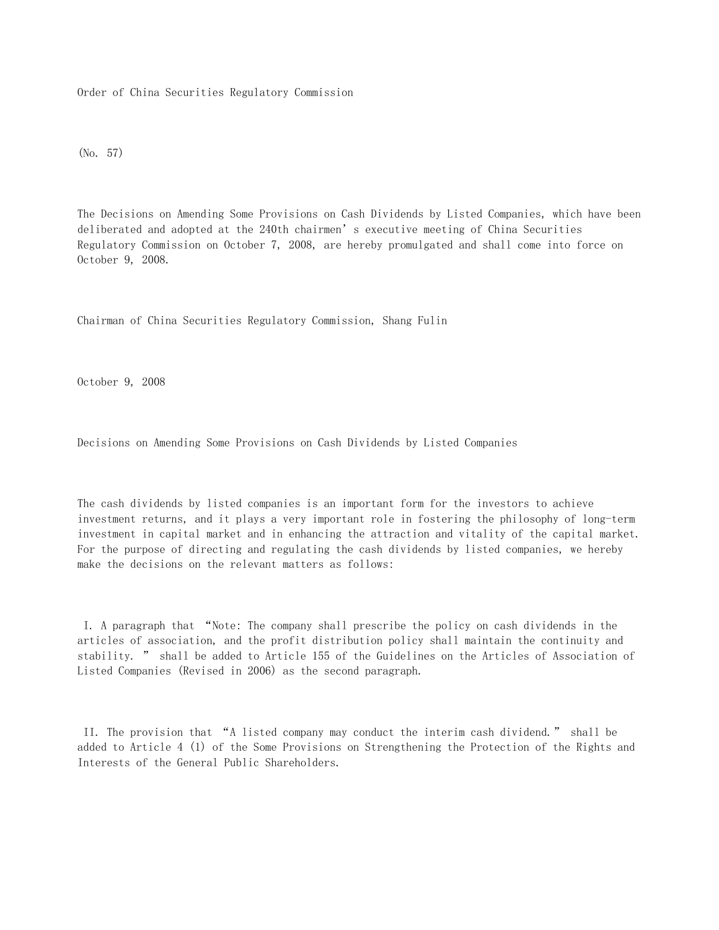Order of China Securities Regulatory Commission

(No. 57)

The Decisions on Amending Some Provisions on Cash Dividends by Listed Companies, which have been deliberated and adopted at the 240th chairmen's executive meeting of China Securities Regulatory Commission on October 7, 2008, are hereby promulgated and shall come into force on October 9, 2008.

Chairman of China Securities Regulatory Commission, Shang Fulin

October 9, 2008

Decisions on Amending Some Provisions on Cash Dividends by Listed Companies

The cash dividends by listed companies is an important form for the investors to achieve investment returns, and it plays a very important role in fostering the philosophy of long-term investment in capital market and in enhancing the attraction and vitality of the capital market. For the purpose of directing and regulating the cash dividends by listed companies, we hereby make the decisions on the relevant matters as follows:

 I. A paragraph that "Note: The company shall prescribe the policy on cash dividends in the articles of association, and the profit distribution policy shall maintain the continuity and stability. " shall be added to Article 155 of the Guidelines on the Articles of Association of Listed Companies (Revised in 2006) as the second paragraph.

 II. The provision that "A listed company may conduct the interim cash dividend." shall be added to Article 4 (1) of the Some Provisions on Strengthening the Protection of the Rights and Interests of the General Public Shareholders.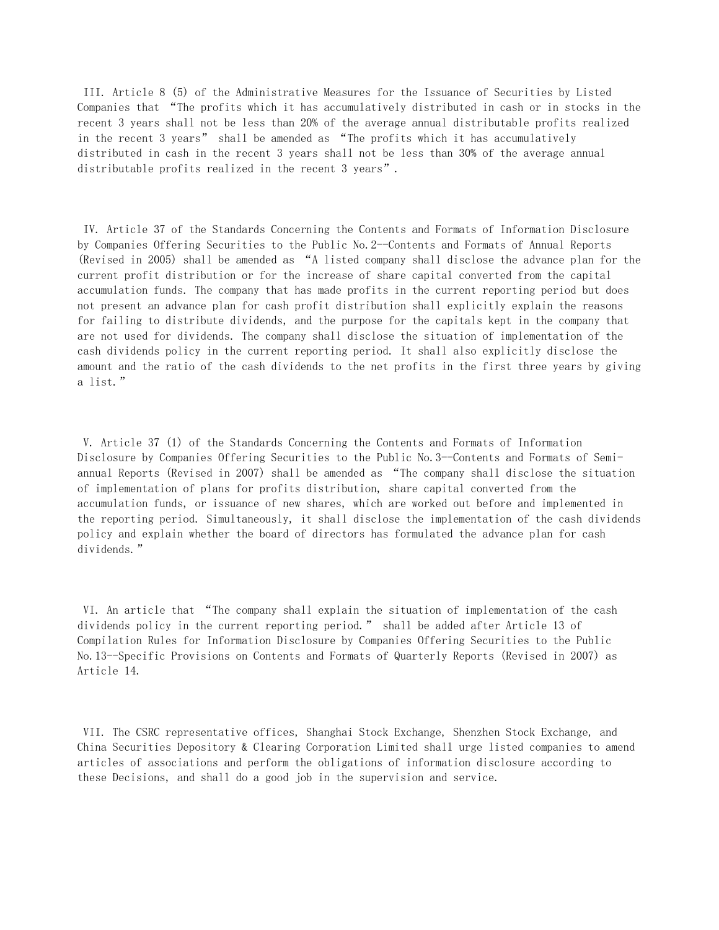III. Article 8 (5) of the Administrative Measures for the Issuance of Securities by Listed Companies that "The profits which it has accumulatively distributed in cash or in stocks in the recent 3 years shall not be less than 20% of the average annual distributable profits realized in the recent 3 years" shall be amended as "The profits which it has accumulatively distributed in cash in the recent 3 years shall not be less than 30% of the average annual distributable profits realized in the recent 3 years".

 IV. Article 37 of the Standards Concerning the Contents and Formats of Information Disclosure by Companies Offering Securities to the Public No.2--Contents and Formats of Annual Reports (Revised in 2005) shall be amended as "A listed company shall disclose the advance plan for the current profit distribution or for the increase of share capital converted from the capital accumulation funds. The company that has made profits in the current reporting period but does not present an advance plan for cash profit distribution shall explicitly explain the reasons for failing to distribute dividends, and the purpose for the capitals kept in the company that are not used for dividends. The company shall disclose the situation of implementation of the cash dividends policy in the current reporting period. It shall also explicitly disclose the amount and the ratio of the cash dividends to the net profits in the first three years by giving a list."

 V. Article 37 (1) of the Standards Concerning the Contents and Formats of Information Disclosure by Companies Offering Securities to the Public No.3--Contents and Formats of Semiannual Reports (Revised in 2007) shall be amended as "The company shall disclose the situation of implementation of plans for profits distribution, share capital converted from the accumulation funds, or issuance of new shares, which are worked out before and implemented in the reporting period. Simultaneously, it shall disclose the implementation of the cash dividends policy and explain whether the board of directors has formulated the advance plan for cash dividends."

 VI. An article that "The company shall explain the situation of implementation of the cash dividends policy in the current reporting period." shall be added after Article 13 of Compilation Rules for Information Disclosure by Companies Offering Securities to the Public No.13--Specific Provisions on Contents and Formats of Quarterly Reports (Revised in 2007) as Article 14.

 VII. The CSRC representative offices, Shanghai Stock Exchange, Shenzhen Stock Exchange, and China Securities Depository & Clearing Corporation Limited shall urge listed companies to amend articles of associations and perform the obligations of information disclosure according to these Decisions, and shall do a good job in the supervision and service.